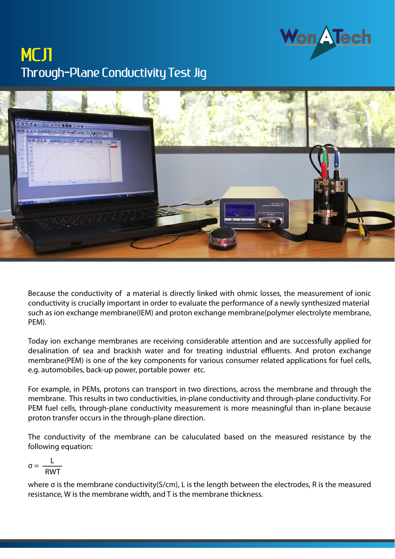## Through-Plane Conductivity Test Jig **MCJ1**



Because the conductivity of a material is directly linked with ohmic losses, the measurement of ionic conductivity is crucially important in order to evaluate the performance of a newly synthesized material such as ion exchange membrane(IEM) and proton exchange membrane(polymer electrolyte membrane, PEM).

Today ion exchange membranes are receiving considerable attention and are successfully applied for desalination of sea and brackish water and for treating industrial effluents. And proton exchange membrane(PEM) is one of the key components for various consumer related applications for fuel cells, e.g. automobiles, back-up power, portable power etc.

For example, in PEMs, protons can transport in two directions, across the membrane and through the membrane. This results in two conductivities, in-plane conductivity and through-plane conductivity. For PEM fuel cells, through-plane conductivity measurement is more measningful than in-plane because proton transfer occurs in the through-plane direction.

The conductivity of the membrane can be caluculated based on the measured resistance by the following equation:

$$
\sigma = \frac{L}{RWT}
$$

where σ is the membrane conductivity(S/cm), L is the length between the electrodes, R is the measured resistance, W is the membrane width, and T is the membrane thickness.